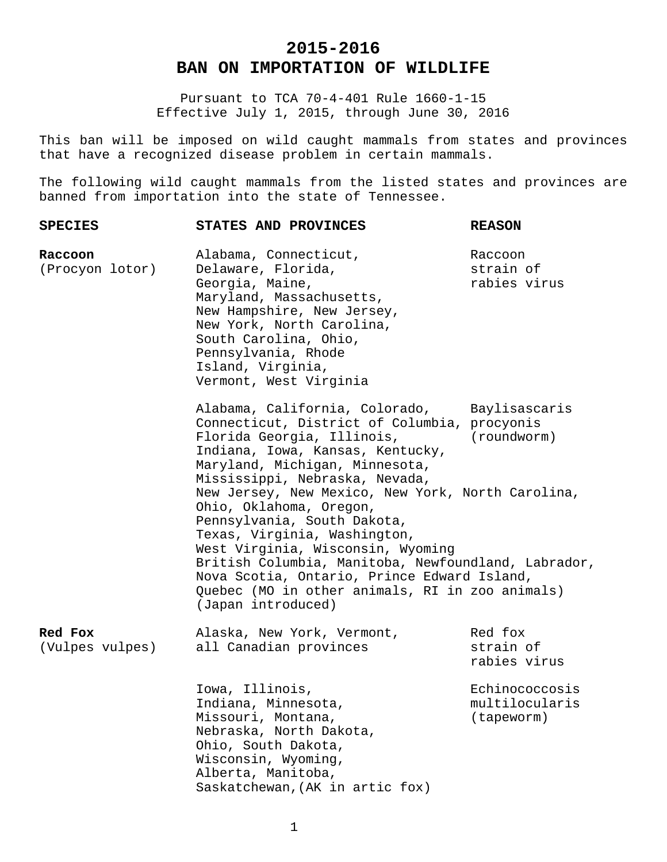## **2015-2016 BAN ON IMPORTATION OF WILDLIFE**

Pursuant to TCA 70-4-401 Rule 1660-1-15 Effective July 1, 2015, through June 30, 2016

This ban will be imposed on wild caught mammals from states and provinces that have a recognized disease problem in certain mammals.

The following wild caught mammals from the listed states and provinces are banned from importation into the state of Tennessee.

| <b>SPECIES</b>             | STATES AND PROVINCES                                                                                                                                                                                                                                                                                                                                                                                                                                                                                                                                                                                  | <b>REASON</b>                                  |
|----------------------------|-------------------------------------------------------------------------------------------------------------------------------------------------------------------------------------------------------------------------------------------------------------------------------------------------------------------------------------------------------------------------------------------------------------------------------------------------------------------------------------------------------------------------------------------------------------------------------------------------------|------------------------------------------------|
| Raccoon<br>(Procyon lotor) | Alabama, Connecticut,<br>Delaware, Florida,<br>Georgia, Maine,<br>Maryland, Massachusetts,<br>New Hampshire, New Jersey,<br>New York, North Carolina,<br>South Carolina, Ohio,<br>Pennsylvania, Rhode<br>Island, Virginia,<br>Vermont, West Virginia                                                                                                                                                                                                                                                                                                                                                  | Raccoon<br>strain of<br>rabies virus           |
|                            | Alabama, California, Colorado, Baylisascaris<br>Connecticut, District of Columbia, procyonis<br>Florida Georgia, Illinois,<br>Indiana, Iowa, Kansas, Kentucky,<br>Maryland, Michigan, Minnesota,<br>Mississippi, Nebraska, Nevada,<br>New Jersey, New Mexico, New York, North Carolina,<br>Ohio, Oklahoma, Oregon,<br>Pennsylvania, South Dakota,<br>Texas, Virginia, Washington,<br>West Virginia, Wisconsin, Wyoming<br>British Columbia, Manitoba, Newfoundland, Labrador,<br>Nova Scotia, Ontario, Prince Edward Island,<br>Quebec (MO in other animals, RI in zoo animals)<br>(Japan introduced) | (roundworm)                                    |
| Red Fox<br>(Vulpes vulpes) | Alaska, New York, Vermont,<br>all Canadian provinces                                                                                                                                                                                                                                                                                                                                                                                                                                                                                                                                                  | Red fox<br>strain of<br>rabies virus           |
|                            | Iowa, Illinois,<br>Indiana, Minnesota,<br>Missouri, Montana,<br>Nebraska, North Dakota,<br>Ohio, South Dakota,<br>Wisconsin, Wyoming,<br>Alberta, Manitoba,<br>Saskatchewan, (AK in artic fox)                                                                                                                                                                                                                                                                                                                                                                                                        | Echinococcosis<br>multilocularis<br>(tapeworm) |